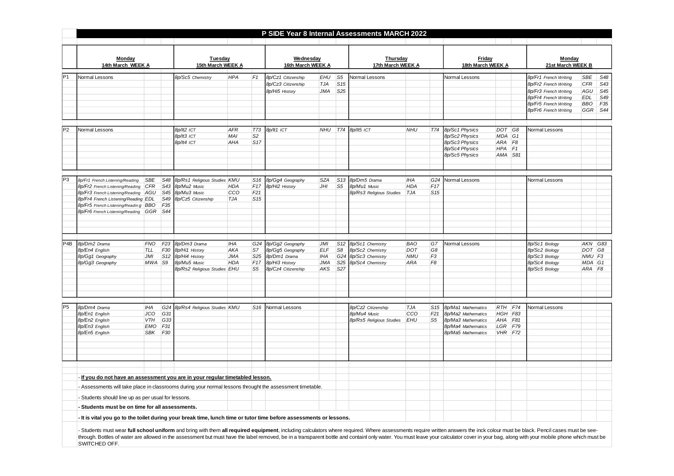|                  |                                                                                                                                                                                                                                                                                                                                                                                                                                                                                  |                                                 |                 |                              |            |                 |                                |            |                 | P SIDE Year 8 Internal Assessments MARCH 2022 |            |                 |                             |            |    |                                                |            |                 |
|------------------|----------------------------------------------------------------------------------------------------------------------------------------------------------------------------------------------------------------------------------------------------------------------------------------------------------------------------------------------------------------------------------------------------------------------------------------------------------------------------------|-------------------------------------------------|-----------------|------------------------------|------------|-----------------|--------------------------------|------------|-----------------|-----------------------------------------------|------------|-----------------|-----------------------------|------------|----|------------------------------------------------|------------|-----------------|
|                  |                                                                                                                                                                                                                                                                                                                                                                                                                                                                                  |                                                 |                 |                              |            |                 |                                |            |                 |                                               |            |                 |                             |            |    |                                                |            |                 |
|                  | Monday<br>14th March WEEK A                                                                                                                                                                                                                                                                                                                                                                                                                                                      |                                                 |                 | Tuesday<br>15th March WEEK A |            |                 | Wednesday<br>16th March WEEK A |            |                 | Thursday<br>17th March WEEK A                 |            |                 | Friday<br>18th March WEEK A |            |    | Monday<br>21st March WEEK B                    |            |                 |
| P <sub>1</sub>   | Normal Lessons                                                                                                                                                                                                                                                                                                                                                                                                                                                                   |                                                 |                 | 8p/Sc5 Chemistry             | <b>HPA</b> | F <sub>1</sub>  | 8p/Cz1 Citizenship             | EHU        | S <sub>5</sub>  | Normal Lessons                                |            |                 | Normal Lessons              |            |    | 8p/Fr1 French Writing                          | SBE        | S48             |
|                  |                                                                                                                                                                                                                                                                                                                                                                                                                                                                                  |                                                 |                 |                              |            |                 | 8p/Cz3 Citizenship             | TJA        | S15             |                                               |            |                 |                             |            |    | 8p/Fr2 French Writing                          | CFR        | S43             |
|                  |                                                                                                                                                                                                                                                                                                                                                                                                                                                                                  |                                                 |                 |                              |            |                 | 8p/Hi5 History                 | JMA        | S25             |                                               |            |                 |                             |            |    |                                                | AGU        | S45             |
|                  |                                                                                                                                                                                                                                                                                                                                                                                                                                                                                  |                                                 |                 |                              |            |                 |                                |            |                 |                                               |            |                 |                             |            |    | 8p/Fr3 French Writing<br>8p/Fr4 French Writing | <b>EDL</b> | S49             |
|                  |                                                                                                                                                                                                                                                                                                                                                                                                                                                                                  |                                                 |                 |                              |            |                 |                                |            |                 |                                               |            |                 |                             |            |    | 8p/Fr5 French Writing                          | <b>BBO</b> | F <sub>35</sub> |
|                  |                                                                                                                                                                                                                                                                                                                                                                                                                                                                                  |                                                 |                 |                              |            |                 |                                |            |                 |                                               |            |                 |                             |            |    | 8p/Fr6 French Writing                          | GGR        | S44             |
|                  |                                                                                                                                                                                                                                                                                                                                                                                                                                                                                  |                                                 |                 |                              |            |                 |                                |            |                 |                                               |            |                 |                             |            |    |                                                |            |                 |
|                  | Normal Lessons                                                                                                                                                                                                                                                                                                                                                                                                                                                                   |                                                 |                 | 8p/lt2 ICT                   | <b>AFR</b> | <b>T73</b>      | 8p/lt1 ICT                     | NHU        |                 | T74 8p/lt5 ICT                                | <b>NHU</b> | T74             | 8p/Sc1 Physics              | DOT G8     |    | <b>Normal Lessons</b>                          |            |                 |
|                  |                                                                                                                                                                                                                                                                                                                                                                                                                                                                                  |                                                 |                 | 8p/lt3 ICT                   | MAI        | S <sub>2</sub>  |                                |            |                 |                                               |            |                 | 8p/Sc2 Physics              | MDA G1     |    |                                                |            |                 |
|                  |                                                                                                                                                                                                                                                                                                                                                                                                                                                                                  |                                                 |                 | 8p/lt4 ICT                   | AHA        | S17             |                                |            |                 |                                               |            |                 | 8p/Sc3 Physics              | ARA        | F8 |                                                |            |                 |
|                  |                                                                                                                                                                                                                                                                                                                                                                                                                                                                                  |                                                 |                 |                              |            |                 |                                |            |                 |                                               |            |                 | 8p/Sc4 Physics              | $HPA$ $F1$ |    |                                                |            |                 |
|                  |                                                                                                                                                                                                                                                                                                                                                                                                                                                                                  |                                                 |                 |                              |            |                 |                                |            |                 |                                               |            |                 | 8p/Sc5 Physics              | AMA S81    |    |                                                |            |                 |
|                  |                                                                                                                                                                                                                                                                                                                                                                                                                                                                                  |                                                 |                 |                              |            |                 |                                |            |                 |                                               |            |                 |                             |            |    |                                                |            |                 |
| P3               | 8p/Fr1 French Listening/Reading                                                                                                                                                                                                                                                                                                                                                                                                                                                  | SBE                                             | S48             | 8p/Rs1 Religious Studies KMU |            | S16             | 8p/Gg4 Geography               | SZA        | S13             | 8p/Dm5 Drama                                  | <b>IHA</b> | G24             | <b>Vormal Lessons</b>       |            |    | Normal Lessons                                 |            |                 |
|                  | 8p/Fr2 French Listening/Reading                                                                                                                                                                                                                                                                                                                                                                                                                                                  | CFR                                             | S43             | 8p/Mu2 Music                 | <b>HDA</b> | F17             | 8p/Hi2 History                 | JHI        | S <sub>5</sub>  | 8p/Mu1 Music                                  | <b>HDA</b> | F17             |                             |            |    |                                                |            |                 |
|                  | 8p/Fr3 French Listening/Reading AGU                                                                                                                                                                                                                                                                                                                                                                                                                                              |                                                 | S45             | 8p/Mu3 Music                 | CCO        | F21             |                                |            |                 | 8p/Rs3 Religious Studies                      | <b>TJA</b> | S <sub>15</sub> |                             |            |    |                                                |            |                 |
|                  | 8p/Fr4 French Listening/Reading EDL                                                                                                                                                                                                                                                                                                                                                                                                                                              |                                                 | S49             | 8p/Cz5 Citizenship           | <b>TJA</b> | S <sub>15</sub> |                                |            |                 |                                               |            |                 |                             |            |    |                                                |            |                 |
|                  | 8p/Fr5 French Listening/Readin g                                                                                                                                                                                                                                                                                                                                                                                                                                                 | <b>BBO</b>                                      | F <sub>35</sub> |                              |            |                 |                                |            |                 |                                               |            |                 |                             |            |    |                                                |            |                 |
|                  | 8p/Fr6 French Listening/Reading                                                                                                                                                                                                                                                                                                                                                                                                                                                  | GGR                                             | S44             |                              |            |                 |                                |            |                 |                                               |            |                 |                             |            |    |                                                |            |                 |
|                  |                                                                                                                                                                                                                                                                                                                                                                                                                                                                                  |                                                 |                 |                              |            |                 |                                |            |                 |                                               |            |                 |                             |            |    |                                                |            |                 |
|                  |                                                                                                                                                                                                                                                                                                                                                                                                                                                                                  |                                                 |                 |                              |            |                 |                                |            |                 |                                               |            |                 |                             |            |    |                                                |            |                 |
| P <sub>4</sub> B | 8p/Dm2 Drama                                                                                                                                                                                                                                                                                                                                                                                                                                                                     | <b>FNO</b>                                      | F23             | 8p/Dm3 Drama                 | <b>IHA</b> | G24             | 8p/Gg2 Geography               | <b>JMI</b> | S <sub>12</sub> | 8p/Sc1 Chemistry                              | <b>BAO</b> | G7              | <b>Jormal Lessons</b>       |            |    | 8p/Sc1 Biology                                 |            | AKN G83         |
|                  | 8p/En4 English                                                                                                                                                                                                                                                                                                                                                                                                                                                                   | TLL                                             | F <sub>30</sub> | 8p/Hi1 History               | AKA        | S7              | 8p/Gg5 Geography               | <b>ELF</b> | S <sub>8</sub>  | 8p/Sc2 Chemistry                              | DOT        | G8              |                             |            |    | 8p/Sc2 Biology                                 |            | DOT G8          |
|                  | 8p/Gg1 Geography                                                                                                                                                                                                                                                                                                                                                                                                                                                                 | JMI                                             | S <sub>12</sub> | 8p/Hi4 History               | <b>JMA</b> | S <sub>25</sub> | 8p/Dm1 Drama                   | <b>IHA</b> | G24             | 8p/Sc3 Chemistry                              | <b>NMU</b> | F <sub>3</sub>  |                             |            |    | 8p/Sc3 Biology                                 |            | $NMU$ $F3$      |
|                  | 8p/Gg3 Geography                                                                                                                                                                                                                                                                                                                                                                                                                                                                 | MWA                                             | S9              | 8p/Mu5 Music                 | <b>HDA</b> | F17             | 8p/Hi3 History                 | JMA        | S <sub>25</sub> | 8p/Sc4 Chemistry                              | ARA        | F <sub>8</sub>  |                             |            |    | 8p/Sc4 Biology                                 |            | MDA G1          |
|                  |                                                                                                                                                                                                                                                                                                                                                                                                                                                                                  |                                                 |                 | 8p/Rs2 Religious Studies EHU |            | S <sub>5</sub>  | 8p/Cz4 Citizenship             | AKS        | S27             |                                               |            |                 |                             |            |    | 8p/Sc5 Biology                                 |            | ARA F8          |
|                  |                                                                                                                                                                                                                                                                                                                                                                                                                                                                                  |                                                 |                 |                              |            |                 |                                |            |                 |                                               |            |                 |                             |            |    |                                                |            |                 |
|                  |                                                                                                                                                                                                                                                                                                                                                                                                                                                                                  |                                                 |                 |                              |            |                 |                                |            |                 |                                               |            |                 |                             |            |    |                                                |            |                 |
| P <sub>5</sub>   | 8p/Dm4 Drama                                                                                                                                                                                                                                                                                                                                                                                                                                                                     | <b>IHA</b>                                      | G24             | 8p/Rs4 Religious Studies KMU |            |                 | S <sub>16</sub> Normal Lessons |            |                 | 8p/Cz2 Citizenship                            | <b>TJA</b> | S <sub>15</sub> | 8p/Ma1 Mathematics          | RTH F74    |    | <b>Normal Lessons</b>                          |            |                 |
|                  | 8p/En1 English                                                                                                                                                                                                                                                                                                                                                                                                                                                                   | <b>JCO</b>                                      | G31             |                              |            |                 |                                |            |                 | 8p/Mu4 Music                                  | CCO        | F21             | 8p/Ma2 Mathematics          | HGH F83    |    |                                                |            |                 |
|                  | 8p/En2 English                                                                                                                                                                                                                                                                                                                                                                                                                                                                   | VTH                                             | G33             |                              |            |                 |                                |            |                 | 8p/Rs5 Religious Studies                      | EHU        | S <sub>5</sub>  | 8p/Ma3 Mathematics          | AHA F81    |    |                                                |            |                 |
|                  | 8p/En3 English                                                                                                                                                                                                                                                                                                                                                                                                                                                                   | EMO                                             | F31             |                              |            |                 |                                |            |                 |                                               |            |                 | 8p/Ma4 Mathematics          | LGR F79    |    |                                                |            |                 |
|                  | 8p/En5 English                                                                                                                                                                                                                                                                                                                                                                                                                                                                   | SBK                                             | F <sub>30</sub> |                              |            |                 |                                |            |                 |                                               |            |                 | 8p/Ma5 Mathematics          | VHR F72    |    |                                                |            |                 |
|                  |                                                                                                                                                                                                                                                                                                                                                                                                                                                                                  |                                                 |                 |                              |            |                 |                                |            |                 |                                               |            |                 |                             |            |    |                                                |            |                 |
|                  |                                                                                                                                                                                                                                                                                                                                                                                                                                                                                  |                                                 |                 |                              |            |                 |                                |            |                 |                                               |            |                 |                             |            |    |                                                |            |                 |
|                  | - If you do not have an assessment you are in your regular timetabled lesson.                                                                                                                                                                                                                                                                                                                                                                                                    |                                                 |                 |                              |            |                 |                                |            |                 |                                               |            |                 |                             |            |    |                                                |            |                 |
|                  | - Assessments will take place in classrooms during your normal lessons throught the assessment timetable.                                                                                                                                                                                                                                                                                                                                                                        |                                                 |                 |                              |            |                 |                                |            |                 |                                               |            |                 |                             |            |    |                                                |            |                 |
|                  | Students should line up as per usual for lessons.                                                                                                                                                                                                                                                                                                                                                                                                                                |                                                 |                 |                              |            |                 |                                |            |                 |                                               |            |                 |                             |            |    |                                                |            |                 |
|                  |                                                                                                                                                                                                                                                                                                                                                                                                                                                                                  | - Students must be on time for all assessments. |                 |                              |            |                 |                                |            |                 |                                               |            |                 |                             |            |    |                                                |            |                 |
|                  | - It is vital you go to the toilet during your break time, lunch time or tutor time before assessments or lessons.                                                                                                                                                                                                                                                                                                                                                               |                                                 |                 |                              |            |                 |                                |            |                 |                                               |            |                 |                             |            |    |                                                |            |                 |
|                  | - Students must wear full school uniform and bring with them all required equipment, including calculators where required. Where assessments require written answers the inck colour must be black. Pencil cases must be see-<br>through. Bottles of water are allowed in the assessment but must have the label removed, be in a transparent bottle and containl only water. You must leave your calculator cover in your bag, along with your mobile phone wh<br>SWITCHED OFF. |                                                 |                 |                              |            |                 |                                |            |                 |                                               |            |                 |                             |            |    |                                                |            |                 |